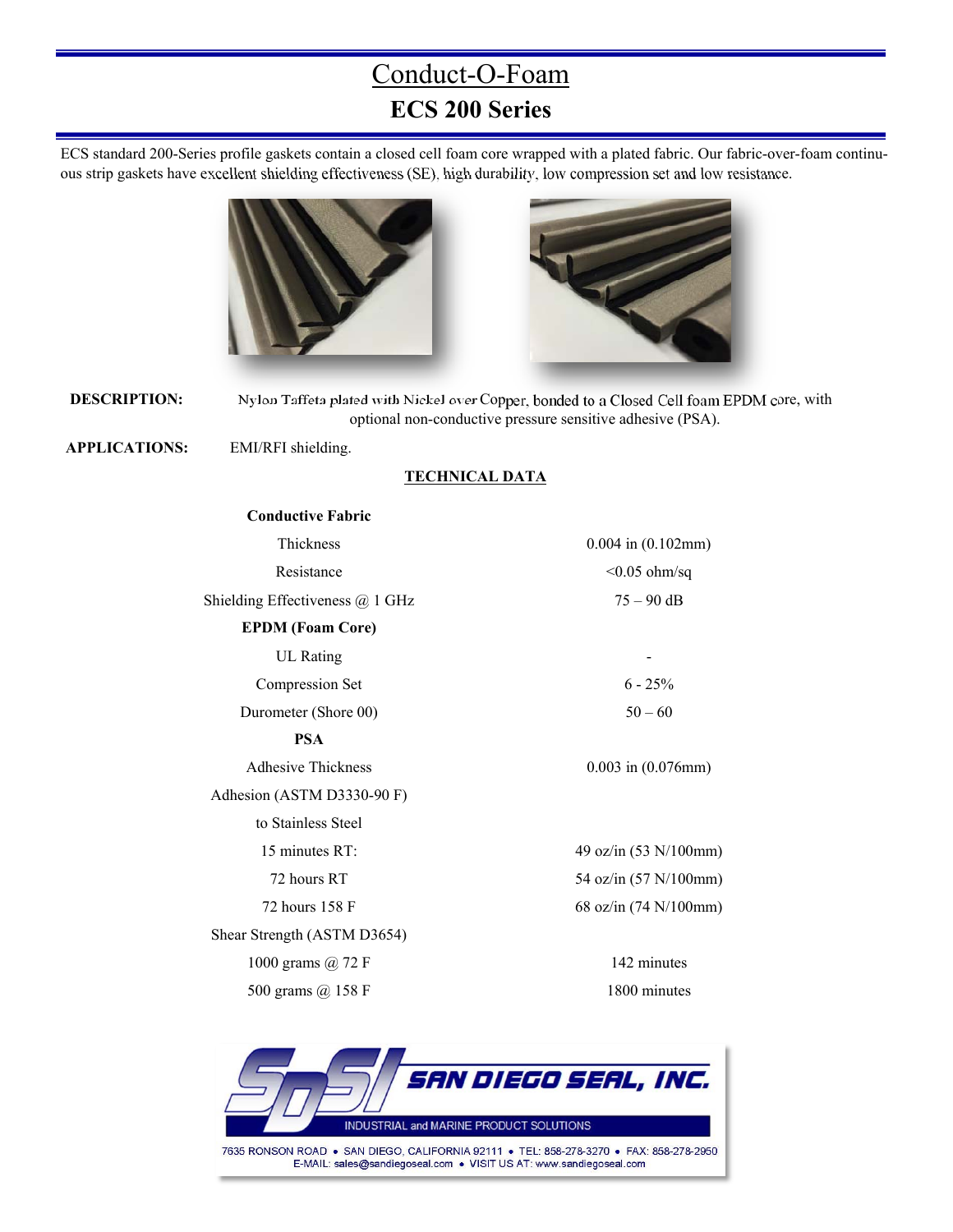## Conduct-O-Foam **ECS 200 Series**

ECS standard 200-Series profile gaskets contain a closed cell foam core wrapped with a plated fabric. Our fabric-over-foam continuous strip gaskets have excellent shielding effectiveness (SE), high durability, low compression set and low resistance.





**DESCRIPTION:** Nylon Taffeta plated with Nickel over Copper, bonded to a Closed Cell foam EPDM core, with optional non-conductive pressure sensitive adhesive (PSA).

 **APPLICATIONS:** EMI/RFI shielding.

#### **TECHNICAL DATA**

| <b>Conductive Fabric</b>        |                         |
|---------------------------------|-------------------------|
| Thickness                       | $0.004$ in $(0.102$ mm) |
| Resistance                      | $< 0.05$ ohm/sq         |
| Shielding Effectiveness @ 1 GHz | $75 - 90$ dB            |
| <b>EPDM</b> (Foam Core)         |                         |
| <b>UL</b> Rating                |                         |
| Compression Set                 | $6 - 25%$               |
| Durometer (Shore 00)            | $50 - 60$               |
| <b>PSA</b>                      |                         |
| <b>Adhesive Thickness</b>       | $0.003$ in $(0.076$ mm) |
| Adhesion (ASTM D3330-90 F)      |                         |
| to Stainless Steel              |                         |
| 15 minutes RT:                  | 49 oz/in (53 N/100mm)   |
| 72 hours RT                     | 54 oz/in (57 N/100mm)   |
| 72 hours 158 F                  | 68 oz/in (74 N/100mm)   |
| Shear Strength (ASTM D3654)     |                         |
| 1000 grams $\omega$ 72 F        | 142 minutes             |
| 500 grams @ 158 F               | 1800 minutes            |